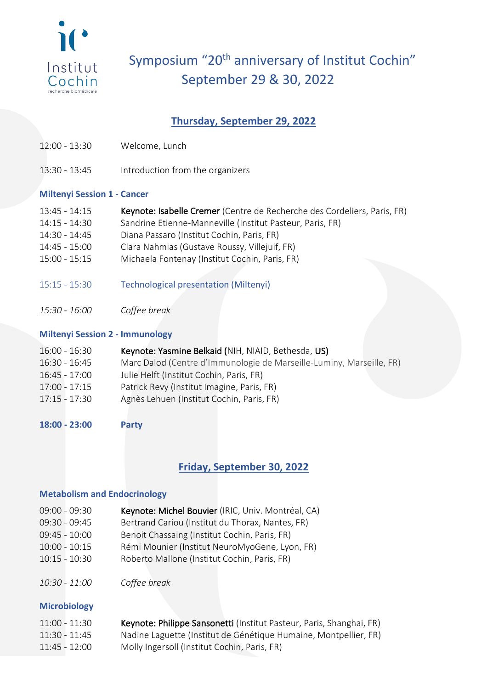

# Symposium "20<sup>th</sup> anniversary of Institut Cochin" September 29 & 30, 2022

## **Thursday, September 29, 2022**

- 12:00 13:30 Welcome, Lunch
- 13:30 13:45 Introduction from the organizers

## **Miltenyi Session 1 - Cancer**

- 13:45 14:15 Keynote: Isabelle Cremer (Centre de Recherche des Cordeliers, Paris, FR)
- 14:15 14:30 Sandrine Etienne-Manneville (Institut Pasteur, Paris, FR)
- 14:30 14:45 Diana Passaro (Institut Cochin, Paris, FR)
- 14:45 15:00 Clara Nahmias (Gustave Roussy, Villejuif, FR)
- 15:00 15:15 Michaela Fontenay (Institut Cochin, Paris, FR)
- 15:15 15:30 Technological presentation (Miltenyi)
- *15:30 - 16:00 Coffee break*

## **Miltenyi Session 2 - Immunology**

| Marc Dalod (Centre d'Immunologie de Marseille-Luminy, Marseille, FR) |
|----------------------------------------------------------------------|
|                                                                      |
|                                                                      |
|                                                                      |
|                                                                      |

**18:00 - 23:00 Party**

## **Friday, September 30, 2022**

### **Metabolism and Endocrinology**

- 09:00 09:30 Keynote: Michel Bouvier (IRIC, Univ. Montréal, CA)
- 09:30 09:45 Bertrand Cariou (Institut du Thorax, Nantes, FR)
- 09:45 10:00 Benoit Chassaing (Institut Cochin, Paris, FR)
- 10:00 10:15 Rémi Mounier (Institut NeuroMyoGene, Lyon, FR)
- 10:15 10:30 Roberto Mallone (Institut Cochin, Paris, FR)
- *10:30 - 11:00 Coffee break*

### **Microbiology**

11:00 - 11:30 Keynote: Philippe Sansonetti (Institut Pasteur, Paris, Shanghai, FR) 11:30 - 11:45 Nadine Laguette (Institut de Génétique Humaine, Montpellier, FR) 11:45 - 12:00 Molly Ingersoll (Institut Cochin, Paris, FR)